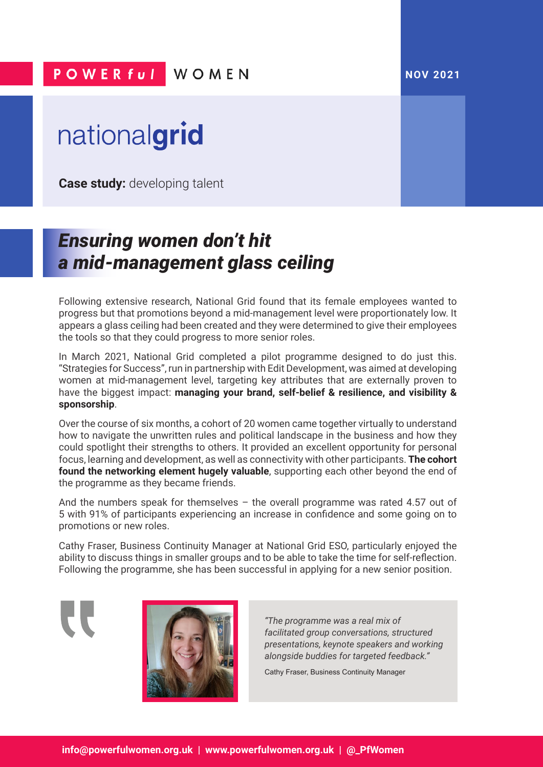## **POWERful WOMEN**

## nationalgrid

**Case study:** developing talent

## *Ensuring women don't hit a mid-management glass ceiling*

Following extensive research, National Grid found that its female employees wanted to progress but that promotions beyond a mid-management level were proportionately low. It appears a glass ceiling had been created and they were determined to give their employees the tools so that they could progress to more senior roles.

In March 2021, National Grid completed a pilot programme designed to do just this. "Strategies for Success", run in partnership with Edit Development, was aimed at developing women at mid-management level, targeting key attributes that are externally proven to have the biggest impact: **managing your brand, self-belief & resilience, and visibility & sponsorship**.

Over the course of six months, a cohort of 20 women came together virtually to understand how to navigate the unwritten rules and political landscape in the business and how they could spotlight their strengths to others. It provided an excellent opportunity for personal focus, learning and development, as well as connectivity with other participants. **The cohort found the networking element hugely valuable**, supporting each other beyond the end of the programme as they became friends.

And the numbers speak for themselves  $-$  the overall programme was rated 4.57 out of 5 with 91% of participants experiencing an increase in confidence and some going on to promotions or new roles.

Cathy Fraser, Business Continuity Manager at National Grid ESO, particularly enjoyed the ability to discuss things in smaller groups and to be able to take the time for self-reflection. Following the programme, she has been successful in applying for a new senior position.



*"The programme was a real mix of facilitated group conversations, structured presentations, keynote speakers and working alongside buddies for targeted feedback."*

Cathy Fraser, Business Continuity Manager

 **NOV 2021**